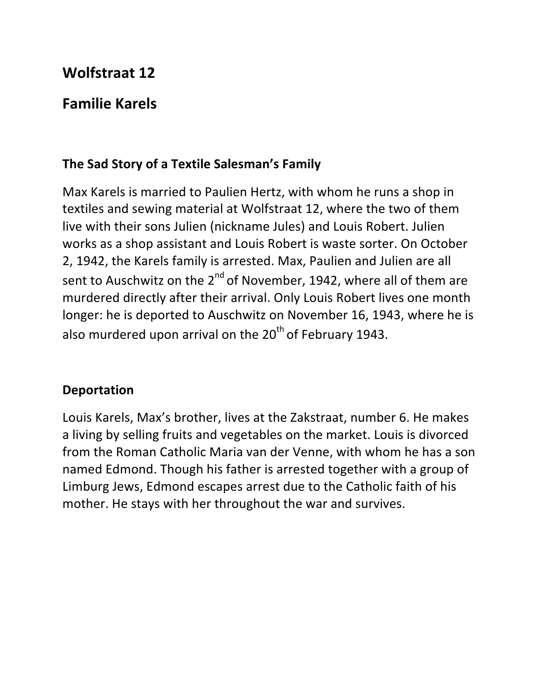## **Wolfstraat 12**

## **Familie Karels**

## The Sad Story of a Textile Salesman's Family

Max Karels is married to Paulien Hertz, with whom he runs a shop in textiles and sewing material at Wolfstraat 12, where the two of them live with their sons Julien (nickname Jules) and Louis Robert. Julien works as a shop assistant and Louis Robert is waste sorter. On October 2, 1942, the Karels family is arrested. Max, Paulien and Julien are all sent to Auschwitz on the  $2^{nd}$  of November, 1942, where all of them are murdered directly after their arrival. Only Louis Robert lives one month longer: he is deported to Auschwitz on November 16, 1943, where he is also murdered upon arrival on the  $20<sup>th</sup>$  of February 1943.

## **Deportation**

Louis Karels, Max's brother, lives at the Zakstraat, number 6. He makes a living by selling fruits and vegetables on the market. Louis is divorced from the Roman Catholic Maria van der Venne, with whom he has a son named Edmond. Though his father is arrested together with a group of Limburg Jews, Edmond escapes arrest due to the Catholic faith of his mother. He stays with her throughout the war and survives.